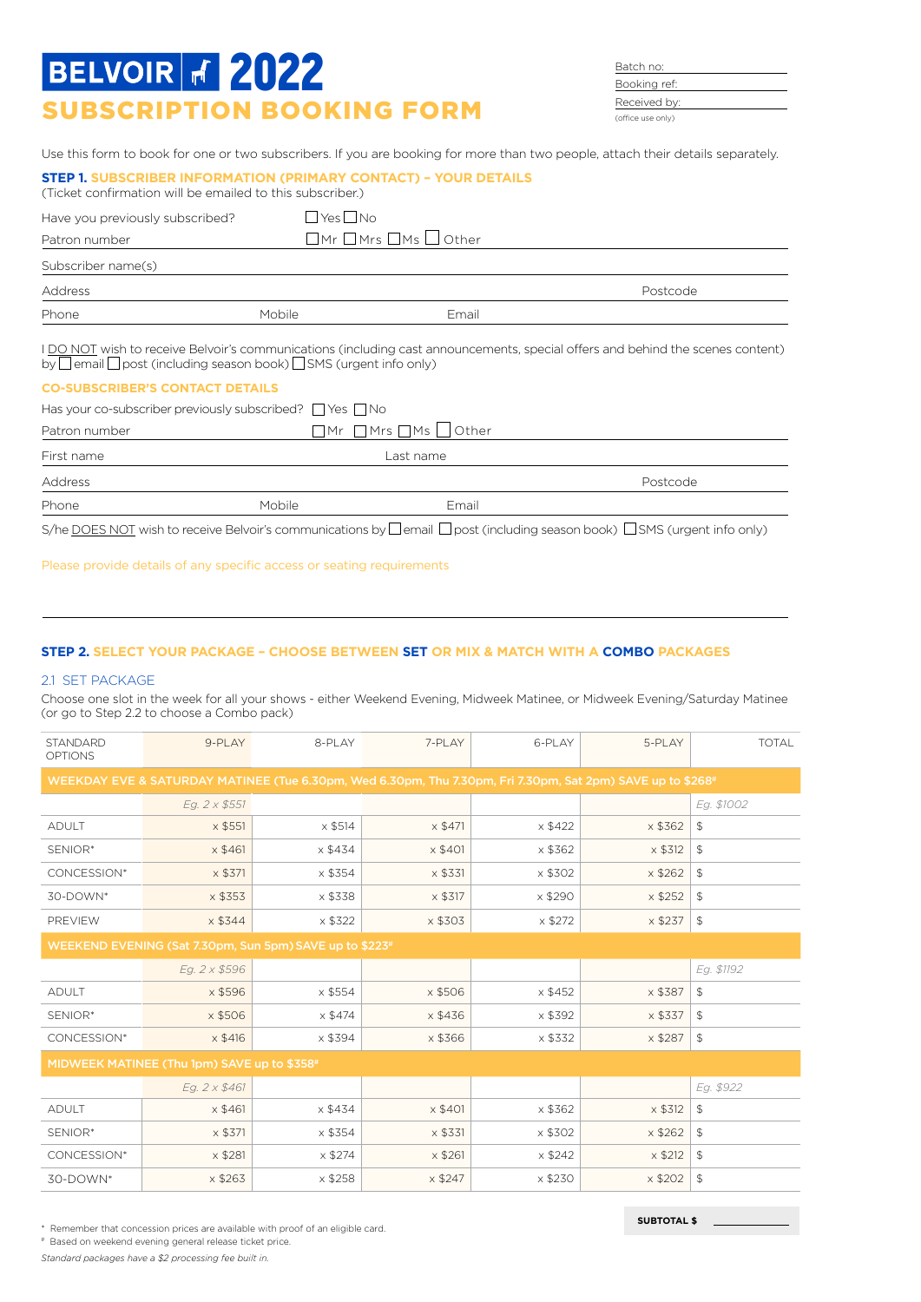# SUBSCRIPTION BOOKING FORM **BELVOIR # 2022**

Batch no: Booking ref: Received by: (office use only)

**SUBTOTAL \$**

Use this form to book for one or two subscribers. If you are booking for more than two people, attach their details separately.

| <b>STEP 1. SUBSCRIBER INFORMATION (PRIMARY CONTACT) - YOUR DETAILS</b><br>(Ticket confirmation will be emailed to this subscriber.) |                          |                                                         |                                                                                                                                |
|-------------------------------------------------------------------------------------------------------------------------------------|--------------------------|---------------------------------------------------------|--------------------------------------------------------------------------------------------------------------------------------|
| Have you previously subscribed?                                                                                                     | $\sqcup$ Yes $\sqcup$ No |                                                         |                                                                                                                                |
| Patron number                                                                                                                       |                          | $\square$ Mr $\square$ Mrs $\square$ Ms $\square$ Other |                                                                                                                                |
| Subscriber name(s)                                                                                                                  |                          |                                                         |                                                                                                                                |
| Address                                                                                                                             |                          |                                                         | Postcode                                                                                                                       |
| Phone                                                                                                                               | Mobile                   | Email                                                   |                                                                                                                                |
| by $\Box$ email $\Box$ post (including season book) $\Box$ SMS (urgent info only)                                                   |                          |                                                         | I DO NOT wish to receive Belvoir's communications (including cast announcements, special offers and behind the scenes content) |
| <b>CO-SUBSCRIBER'S CONTACT DETAILS</b>                                                                                              |                          |                                                         |                                                                                                                                |
| Has your co-subscriber previously subscribed?     Yes     No                                                                        |                          |                                                         |                                                                                                                                |
| Patron number                                                                                                                       |                          | $\sqcap$ mr $\sqcap$ mrs $\sqcap$ ms I<br>Other         |                                                                                                                                |
| First name                                                                                                                          |                          | Last name                                               |                                                                                                                                |
| Address                                                                                                                             |                          |                                                         | Postcode                                                                                                                       |

Please provide details of any specific access or seating requirements

Phone **Email** Mobile Mobile **Email** 

### **STEP 2. SELECT YOUR PACKAGE – CHOOSE BETWEEN SET OR MIX & MATCH WITH A COMBO PACKAGES**

S/he DOES NOT wish to receive Belvoir's communications by  $\Box$  email  $\Box$  post (including season book)  $\Box$  SMS (urgent info only)

#### 2.1 SET PACKAGE

Choose one slot in the week for all your shows - either Weekend Evening, Midweek Matinee, or Midweek Evening/Saturday Matinee (or go to Step 2.2 to choose a Combo pack)

| <b>STANDARD</b><br><b>OPTIONS</b>                                                                          | 9-PLAY                                      | 8-PLAY                                                  | 7-PLAY         | 6-PLAY         | 5-PLAY         | <b>TOTAL</b>   |  |  |
|------------------------------------------------------------------------------------------------------------|---------------------------------------------|---------------------------------------------------------|----------------|----------------|----------------|----------------|--|--|
| WEEKDAY EVE & SATURDAY MATINEE (Tue 6.30pm, Wed 6.30pm, Thu 7.30pm, Fri 7.30pm, Sat 2pm) SAVE up to \$268# |                                             |                                                         |                |                |                |                |  |  |
|                                                                                                            | Eg. 2 x \$551                               |                                                         |                |                |                | Eg. \$1002     |  |  |
| <b>ADULT</b>                                                                                               | $\times$ \$551                              | $\times$ \$514                                          | x \$471        | $\times$ \$422 | $\times$ \$362 | $\mathfrak{L}$ |  |  |
| SENIOR*                                                                                                    | x \$461                                     | $\times$ \$434                                          | $\times$ \$401 | x \$362        | $\times$ \$312 | $\mathfrak{L}$ |  |  |
| CONCESSION*                                                                                                | x \$371                                     | x \$354                                                 | x \$331        | x \$302        | x \$262        | $\mathfrak{P}$ |  |  |
| 30-DOWN*                                                                                                   | $\times$ \$353                              | x \$338                                                 | x \$317        | x \$290        | $\times$ \$252 | $\mathfrak{L}$ |  |  |
| PREVIEW                                                                                                    | $\times$ \$344                              | x \$322                                                 | x \$303        | $\times$ \$272 | $\times$ \$237 | $\mathfrak{L}$ |  |  |
|                                                                                                            |                                             | WEEKEND EVENING (Sat 7.30pm, Sun 5pm) SAVE up to \$223# |                |                |                |                |  |  |
|                                                                                                            | Eg. 2 x \$596                               |                                                         |                |                |                | Eg. \$1192     |  |  |
| <b>ADULT</b>                                                                                               | x \$596                                     | $\times$ \$554                                          | x \$506        | $\times$ \$452 | x \$387        | $\mathfrak{L}$ |  |  |
| SENIOR*                                                                                                    | x \$506                                     | $\times$ \$474                                          | $\times$ \$436 | $\times$ \$392 | x \$337        | $\mathfrak{L}$ |  |  |
| CONCESSION*                                                                                                | $\times$ \$416                              | x \$394                                                 | x \$366        | x \$332        | x \$287        | $\mathfrak{L}$ |  |  |
|                                                                                                            | MIDWEEK MATINEE (Thu 1pm) SAVE up to \$358# |                                                         |                |                |                |                |  |  |
|                                                                                                            | Eg. 2 x \$461                               |                                                         |                |                |                | Eg. \$922      |  |  |
| <b>ADULT</b>                                                                                               | $\times$ \$461                              | $\times$ \$434                                          | $\times$ \$401 | x \$362        | $\times$ \$312 | $\mathfrak{L}$ |  |  |
| SENIOR*                                                                                                    | x \$371                                     | x \$354                                                 | x \$331        | x \$302        | $\times$ \$262 | $\mathfrak{L}$ |  |  |
| CONCESSION*                                                                                                | $\times$ \$281                              | $\times$ \$274                                          | $x$ \$261      | $\times$ \$242 | $\times$ \$212 | $\mathfrak{P}$ |  |  |
| 30-DOWN*                                                                                                   | $\times$ \$263                              | $\times$ \$258                                          | $\times$ \$247 | $\times$ \$230 | $\times$ \$202 | $\mathfrak{L}$ |  |  |

\* Remember that concession prices are available with proof of an eligible card.

# Based on weekend evening general release ticket price.

*Standard packages have a \$2 processing fee built in.*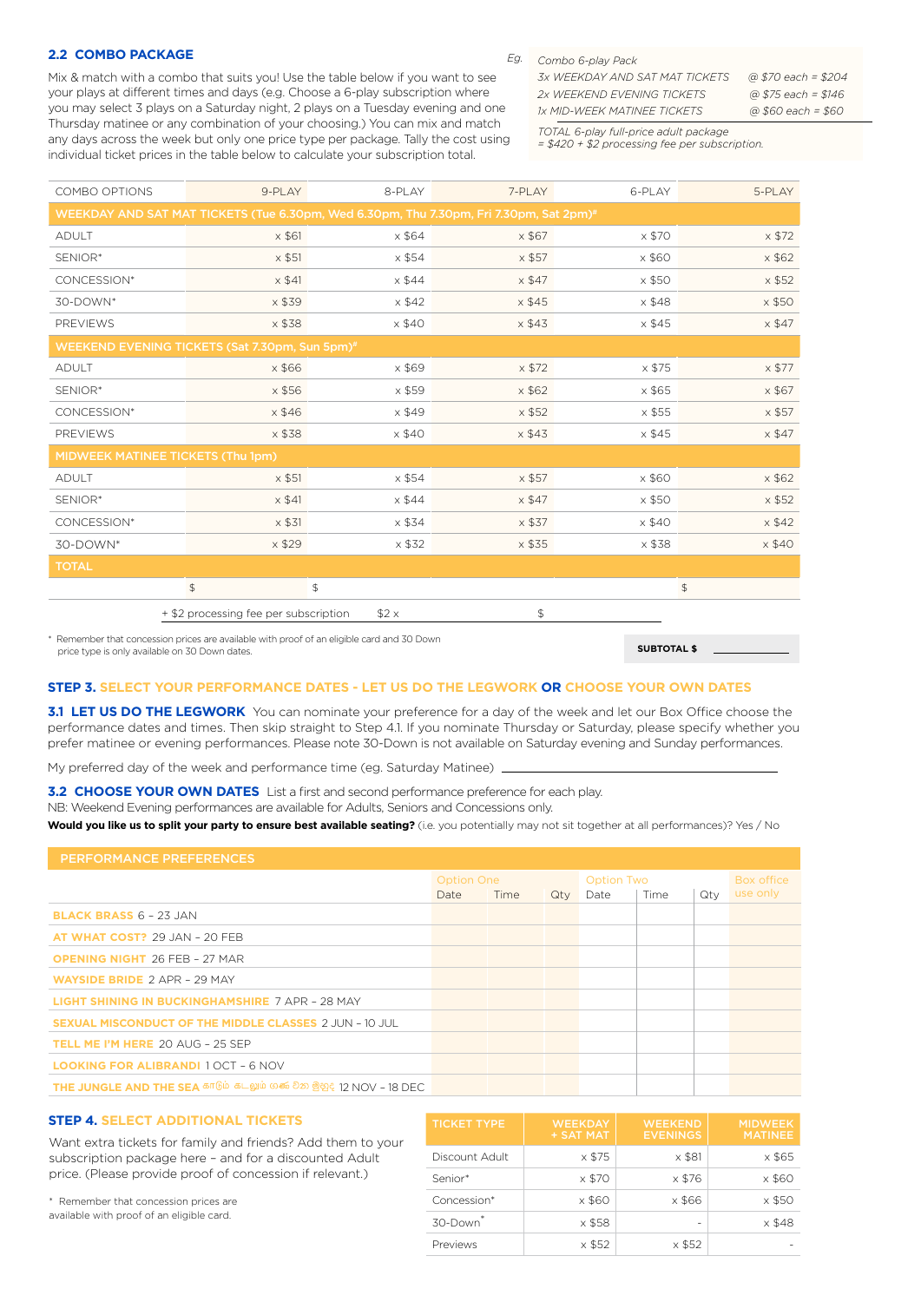#### **2.2 COMBO PACKAGE**

Mix & match with a combo that suits you! Use the table below if you want to see your plays at different times and days (e.g. Choose a 6-play subscription where you may select 3 plays on a Saturday night, 2 plays on a Tuesday evening and one Thursday matinee or any combination of your choosing.) You can mix and match any days across the week but only one price type per package. Tally the cost using individual ticket prices in the table below to calculate your subscription total.

#### *Combo 6-play Pack Eg.*

| 3x WFFKDAY AND SAT MAT TICKFTS.    | @ \$70 each = \$204 |
|------------------------------------|---------------------|
| 2x WFFKFND FVFNING TICKFTS         | @ \$75 each = \$146 |
| <i>Ix MID-WEEK MATINEE TICKETS</i> | @ \$60 each = \$60  |

*TOTAL 6-play full-price adult package* 

*= \$420 + \$2 processing fee per subscription.*

**SUBTOTAL \$**

| COMBO OPTIONS                                                                          |                                       | 9-PLAY        | 8-PLAY        | 7-PLAY        | 6-PLAY        | 5-PLAY           |  |  |
|----------------------------------------------------------------------------------------|---------------------------------------|---------------|---------------|---------------|---------------|------------------|--|--|
| WEEKDAY AND SAT MAT TICKETS (Tue 6.30pm, Wed 6.30pm, Thu 7.30pm, Fri 7.30pm, Sat 2pm)# |                                       |               |               |               |               |                  |  |  |
| <b>ADULT</b>                                                                           |                                       | $\times$ \$61 | $\times$ \$64 | x \$67        | x \$70        | $\times$ \$72    |  |  |
| SENIOR*                                                                                |                                       | $\times$ \$51 | $\times$ \$54 | $\times$ \$57 | $\times$ \$60 | $\times$ \$62    |  |  |
| CONCESSION*                                                                            |                                       | $\times$ \$41 | $\times$ \$44 | $\times$ \$47 | x \$50        | $\times$ \$52    |  |  |
| 30-DOWN*                                                                               |                                       | $x$ \$39      | $\times$ \$42 | $\times$ \$45 | $\times$ \$48 | $\times$ \$50    |  |  |
| <b>PREVIEWS</b>                                                                        |                                       | x \$38        | $\times$ \$40 | x \$43        | $\times$ \$45 | $\times$ \$47    |  |  |
| WEEKEND EVENING TICKETS (Sat 7.30pm, Sun 5pm)#                                         |                                       |               |               |               |               |                  |  |  |
| <b>ADULT</b>                                                                           |                                       | $x$ \$66      | x \$69        | $\times$ \$72 | x \$75        | $\times$ \$77    |  |  |
| SENIOR*                                                                                |                                       | $\times$ \$56 | x \$59        | $x$ \$62      | x \$65        | $\times$ \$67    |  |  |
| CONCESSION*                                                                            |                                       | x \$46        | $\times$ \$49 | $\times$ \$52 | x \$55        | $\times$ \$57    |  |  |
| <b>PREVIEWS</b>                                                                        |                                       | x \$38        | $\times$ \$40 | x \$43        | $\times$ \$45 | $\times$ \$47    |  |  |
| MIDWEEK MATINEE TICKETS (Thu 1pm)                                                      |                                       |               |               |               |               |                  |  |  |
| <b>ADULT</b>                                                                           |                                       | $\times$ \$51 | $\times$ \$54 | $\times$ \$57 | $\times$ \$60 | $\times$ \$62    |  |  |
| SENIOR*                                                                                |                                       | $\times$ \$41 | $\times$ \$44 | $\times$ \$47 | x \$50        | $\times$ \$52    |  |  |
| CONCESSION*                                                                            |                                       | $\times$ \$31 | $\times$ \$34 | $\times$ \$37 | $\times$ \$40 | $\times$ \$42    |  |  |
| 30-DOWN*                                                                               |                                       | $\times$ \$29 | $\times$ \$32 | $\times$ \$35 | x \$38        | $\times$ \$40    |  |  |
| <b>TOTAL</b>                                                                           |                                       |               |               |               |               |                  |  |  |
|                                                                                        | $$\mathbb{S}$$                        |               | \$            |               |               | $$\mathfrak{P}$$ |  |  |
|                                                                                        | + \$2 processing fee per subscription |               | $$2 \times$   | $\mathsf S$   |               |                  |  |  |

\* Remember that concession prices are available with proof of an eligible card and 30 Down price type is only available on 30 Down dates.

#### **STEP 3. SELECT YOUR PERFORMANCE DATES - LET US DO THE LEGWORK OR CHOOSE YOUR OWN DATES**

**3.1 LET US DO THE LEGWORK** You can nominate your preference for a day of the week and let our Box Office choose the performance dates and times. Then skip straight to Step 4.1. If you nominate Thursday or Saturday, please specify whether you prefer matinee or evening performances. Please note 30-Down is not available on Saturday evening and Sunday performances.

My preferred day of the week and performance time (eg. Saturday Matinee)

**3.2 CHOOSE YOUR OWN DATES** List a first and second performance preference for each play. NB: Weekend Evening performances are available for Adults, Seniors and Concessions only.

**Would you like us to split your party to ensure best available seating?** (i.e. you potentially may not sit together at all performances)? Yes / No

| <b>PERFORMANCE PREFERENCES</b>                                   |                   |      |  |                   |      |            |          |
|------------------------------------------------------------------|-------------------|------|--|-------------------|------|------------|----------|
|                                                                  | <b>Option One</b> |      |  | <b>Option Two</b> |      | Box office |          |
|                                                                  | Date              | Time |  | Qty Date          | Time | Qtv        | use only |
| <b>BLACK BRASS <math>6 - 23</math> JAN</b>                       |                   |      |  |                   |      |            |          |
| <b>AT WHAT COST?</b> 29 JAN - 20 FEB                             |                   |      |  |                   |      |            |          |
| <b>OPENING NIGHT 26 FEB - 27 MAR</b>                             |                   |      |  |                   |      |            |          |
| <b>WAYSIDE BRIDE 2 APR - 29 MAY</b>                              |                   |      |  |                   |      |            |          |
| <b>LIGHT SHINING IN BUCKINGHAMSHIRE 7 APR - 28 MAY</b>           |                   |      |  |                   |      |            |          |
| <b>SEXUAL MISCONDUCT OF THE MIDDLE CLASSES 2 JUN - 10 JUL</b>    |                   |      |  |                   |      |            |          |
| <b>TELL ME I'M HERE 20 AUG - 25 SEP</b>                          |                   |      |  |                   |      |            |          |
| <b>LOOKING FOR ALIBRANDI 1 OCT - 6 NOV</b>                       |                   |      |  |                   |      |            |          |
| THE JUNGLE AND THE SEA காடும் கடலும் ගණ වන මුහුද 12 NOV - 18 DFC |                   |      |  |                   |      |            |          |

#### **STEP 4. SELECT ADDITIONAL TICKETS**

Want extra tickets for family and friends? Add them to your subscription package here – and for a discounted Adult price. (Please provide proof of concession if relevant.)

\* Remember that concession prices are available with proof of an eligible card.

| <b>TICKET TYPE</b>   | <b>WEEKDAY</b><br>+ SAT MAT | <b>WEEKEND</b><br><b>EVENINGS</b> | <b>MIDWEEK</b><br><b>MATINEE</b> |
|----------------------|-----------------------------|-----------------------------------|----------------------------------|
| Discount Adult       | x \$75                      | $\times$ \$81                     | x \$65                           |
| Senior*              | x \$70                      | x \$76                            | x \$60                           |
| Concession*          | x \$60                      | x \$66                            | x \$50                           |
| 30-Down <sup>*</sup> | x \$58                      |                                   | $\times$ \$48                    |
| Previews             | x \$52                      | x \$52                            |                                  |